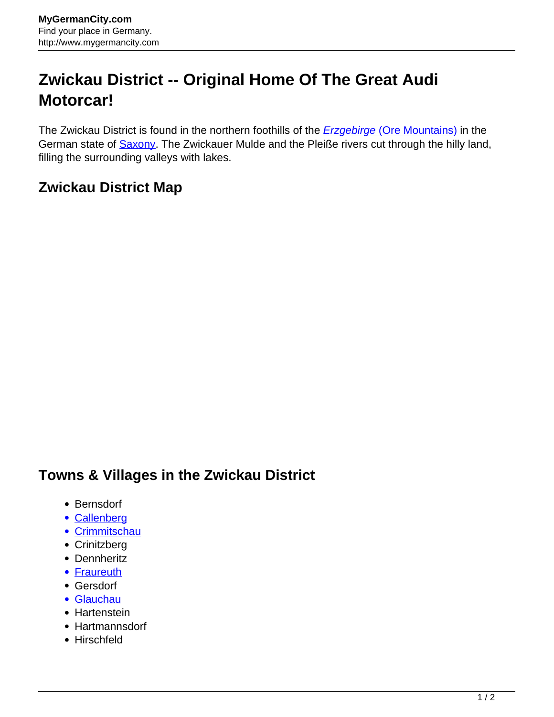## **Zwickau District -- Original Home Of The Great Audi Motorcar!**

The Zwickau District is found in the northern foothills of the **[Erzgebirge](http://www.mygermancity.com/ore-mountains) [\(Ore Mountains\)](http://www.mygermancity.com/ore-mountains)** in the German state of **Saxony**. The Zwickauer Mulde and the Pleiße rivers cut through the hilly land, filling the surrounding valleys with lakes.

## **Zwickau District Map**

## **Towns & Villages in the Zwickau District**

- Bernsdorf
- [Callenberg](http://www.mygermancity.com/callenberg)
- [Crimmitschau](http://www.mygermancity.com/crimmitschau)
- Crinitzberg
- Dennheritz
- [Fraureuth](http://www.mygermancity.com/fraureuth)
- Gersdorf
- [Glauchau](http://www.mygermancity.com/glauchau)
- Hartenstein
- Hartmannsdorf
- Hirschfeld